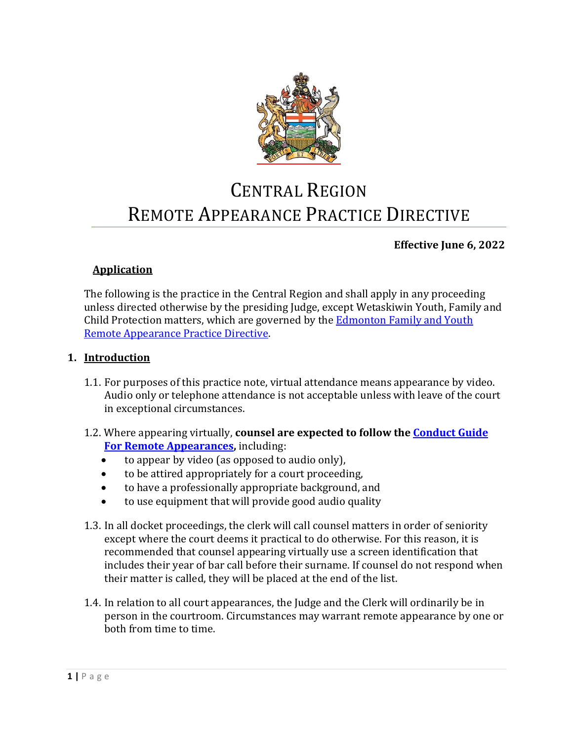

# CENTRAL REGION REMOTE APPEARANCE PRACTICE DIRECTIVE

# **Effective June 6, 2022**

# **Application**

The following is the practice in the Central Region and shall apply in any proceeding unless directed otherwise by the presiding Judge, except Wetaskiwin Youth, Family and Child Protection matters, which are governed by the **Edmonton Family and Youth** [Remote Appearance Practice Directive.](https://albertacourts.ca/docs/default-source/pc/edmonton-family-and-youth-remote-appearances-practice-note.pdf)

# **1. Introduction**

- 1.1. For purposes of this practice note, virtual attendance means appearance by video. Audio only or telephone attendance is not acceptable unless with leave of the court in exceptional circumstances.
- 1.2. Where appearing virtually, **counsel are expected to follow the [Conduct Guide](https://albertacourts.ca/docs/default-source/pc/provincial-court-of-alberta-conduct-guide-for-remote-appearances-(february-9-2022).pdf?sfvrsn=544ccc83_5/Provincial-Court-of-Alberta-Conduct-Guide-for-Remote-Appearances-(February-9-2022).pdf)  [For Remote Appearances,](https://albertacourts.ca/docs/default-source/pc/provincial-court-of-alberta-conduct-guide-for-remote-appearances-(february-9-2022).pdf?sfvrsn=544ccc83_5/Provincial-Court-of-Alberta-Conduct-Guide-for-Remote-Appearances-(February-9-2022).pdf)** including:
	- to appear by video (as opposed to audio only),
	- to be attired appropriately for a court proceeding,
	- to have a professionally appropriate background, and
	- to use equipment that will provide good audio quality
- 1.3. In all docket proceedings, the clerk will call counsel matters in order of seniority except where the court deems it practical to do otherwise. For this reason, it is recommended that counsel appearing virtually use a screen identification that includes their year of bar call before their surname. If counsel do not respond when their matter is called, they will be placed at the end of the list.
- 1.4. In relation to all court appearances, the Judge and the Clerk will ordinarily be in person in the courtroom. Circumstances may warrant remote appearance by one or both from time to time.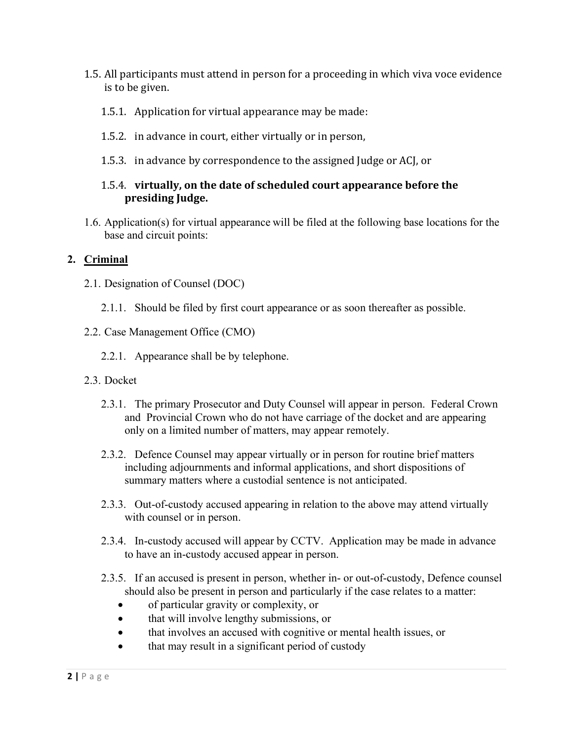- 1.5. All participants must attend in person for a proceeding in which viva voce evidence is to be given.
	- 1.5.1. Application for virtual appearance may be made:
	- 1.5.2. in advance in court, either virtually or in person,
	- 1.5.3. in advance by correspondence to the assigned Judge or ACJ, or

# 1.5.4. **virtually, on the date of scheduled court appearance before the presiding Judge.**

1.6. Application(s) for virtual appearance will be filed at the following base locations for the base and circuit points:

# **2. Criminal**

- 2.1. Designation of Counsel (DOC)
	- 2.1.1. Should be filed by first court appearance or as soon thereafter as possible.
- 2.2. Case Management Office (CMO)
	- 2.2.1. Appearance shall be by telephone.
- 2.3. Docket
	- 2.3.1. The primary Prosecutor and Duty Counsel will appear in person. Federal Crown and Provincial Crown who do not have carriage of the docket and are appearing only on a limited number of matters, may appear remotely.
	- 2.3.2. Defence Counsel may appear virtually or in person for routine brief matters including adjournments and informal applications, and short dispositions of summary matters where a custodial sentence is not anticipated.
	- 2.3.3. Out-of-custody accused appearing in relation to the above may attend virtually with counsel or in person.
	- 2.3.4. In-custody accused will appear by CCTV. Application may be made in advance to have an in-custody accused appear in person.
	- 2.3.5. If an accused is present in person, whether in- or out-of-custody, Defence counsel should also be present in person and particularly if the case relates to a matter:
		- of particular gravity or complexity, or
		- that will involve lengthy submissions, or
		- that involves an accused with cognitive or mental health issues, or
		- that may result in a significant period of custody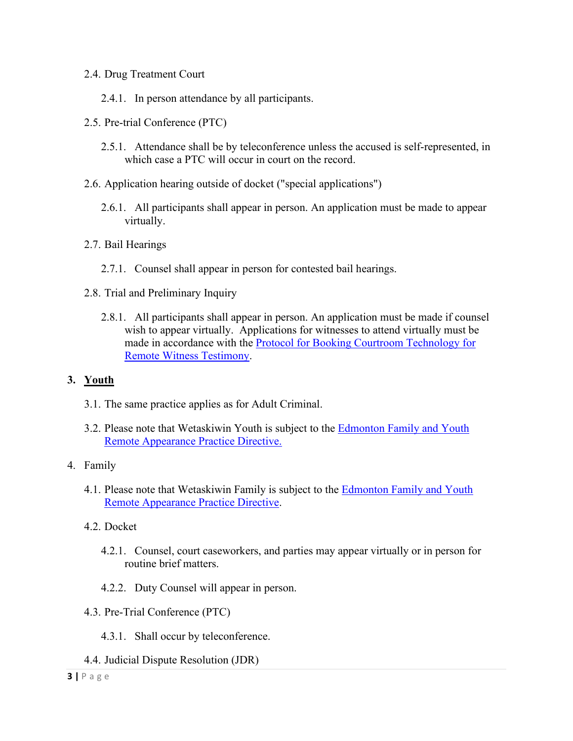#### 2.4. Drug Treatment Court

- 2.4.1. In person attendance by all participants.
- 2.5. Pre-trial Conference (PTC)
	- 2.5.1. Attendance shall be by teleconference unless the accused is self-represented, in which case a PTC will occur in court on the record.
- 2.6. Application hearing outside of docket ("special applications")
	- 2.6.1. All participants shall appear in person. An application must be made to appear virtually.
- 2.7. Bail Hearings
	- 2.7.1. Counsel shall appear in person for contested bail hearings.
- 2.8. Trial and Preliminary Inquiry
	- 2.8.1. All participants shall appear in person. An application must be made if counsel wish to appear virtually. Applications for witnesses to attend virtually must be made in accordance with the [Protocol for Booking Courtroom Technology for](https://albertacourts.ca/docs/default-source/pc/protocol-for-booking-courtroom-technology-for-remote-witness.pdf?sfvrsn=f5927e83_10)  [Remote Witness Testimony.](https://albertacourts.ca/docs/default-source/pc/protocol-for-booking-courtroom-technology-for-remote-witness.pdf?sfvrsn=f5927e83_10)

#### **3. Youth**

- 3.1. The same practice applies as for Adult Criminal.
- 3.2. Please note that Wetaskiwin Youth is subject to the [Edmonton Family and](https://albertacourts.ca/docs/default-source/pc/edmonton-family-and-youth-remote-appearances-practice-note.pdf) Youth [Remote Appearance Practice Directive.](https://albertacourts.ca/docs/default-source/pc/edmonton-family-and-youth-remote-appearances-practice-note.pdf)

#### 4. Family

- 4.1. Please note that Wetaskiwin Family is subject to the [Edmonton Family and](https://albertacourts.ca/docs/default-source/pc/edmonton-family-and-youth-remote-appearances-practice-note.pdf) Youth [Remote Appearance Practice Directive.](https://albertacourts.ca/docs/default-source/pc/edmonton-family-and-youth-remote-appearances-practice-note.pdf)
- 4.2. Docket
	- 4.2.1. Counsel, court caseworkers, and parties may appear virtually or in person for routine brief matters.
	- 4.2.2. Duty Counsel will appear in person.
- 4.3. Pre-Trial Conference (PTC)
	- 4.3.1. Shall occur by teleconference.
- 4.4. Judicial Dispute Resolution (JDR)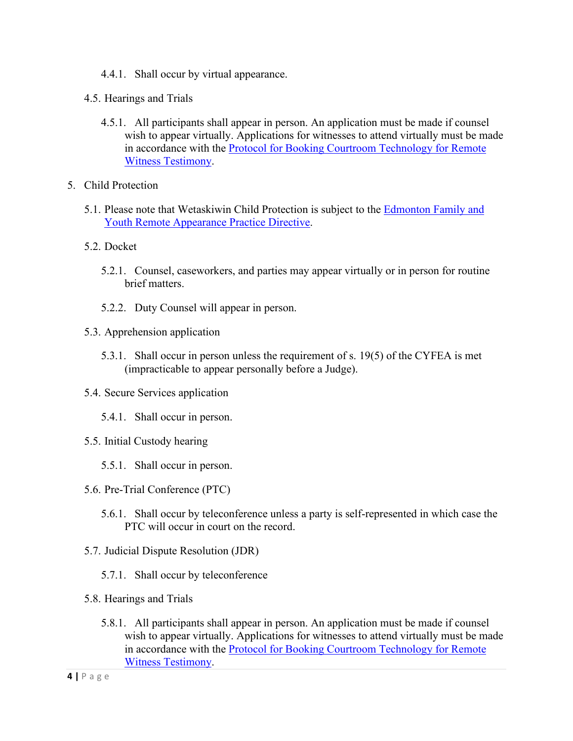- 4.4.1. Shall occur by virtual appearance.
- 4.5. Hearings and Trials
	- 4.5.1. All participants shall appear in person. An application must be made if counsel wish to appear virtually. Applications for witnesses to attend virtually must be made in accordance with the [Protocol for Booking Courtroom Technology for Remote](https://albertacourts.ca/docs/default-source/pc/protocol-for-booking-courtroom-technology-for-remote-witness.pdf?sfvrsn=f5927e83_10)  [Witness Testimony.](https://albertacourts.ca/docs/default-source/pc/protocol-for-booking-courtroom-technology-for-remote-witness.pdf?sfvrsn=f5927e83_10)
- 5. Child Protection
	- 5.1. Please note that Wetaskiwin Child Protection is subject to the [Edmonton Family and](https://albertacourts.ca/docs/default-source/pc/edmonton-family-and-youth-remote-appearances-practice-note.pdf) [Youth Remote Appearance Practice Directive.](https://albertacourts.ca/docs/default-source/pc/edmonton-family-and-youth-remote-appearances-practice-note.pdf)
	- 5.2. Docket
		- 5.2.1. Counsel, caseworkers, and parties may appear virtually or in person for routine brief matters.
		- 5.2.2. Duty Counsel will appear in person.
	- 5.3. Apprehension application
		- 5.3.1. Shall occur in person unless the requirement of s. 19(5) of the CYFEA is met (impracticable to appear personally before a Judge).
	- 5.4. Secure Services application
		- 5.4.1. Shall occur in person.
	- 5.5. Initial Custody hearing
		- 5.5.1. Shall occur in person.
	- 5.6. Pre-Trial Conference (PTC)
		- 5.6.1. Shall occur by teleconference unless a party is self-represented in which case the PTC will occur in court on the record.
	- 5.7. Judicial Dispute Resolution (JDR)
		- 5.7.1. Shall occur by teleconference
	- 5.8. Hearings and Trials
		- 5.8.1. All participants shall appear in person. An application must be made if counsel wish to appear virtually. Applications for witnesses to attend virtually must be made in accordance with the [Protocol for Booking Courtroom Technology for Remote](https://albertacourts.ca/docs/default-source/pc/protocol-for-booking-courtroom-technology-for-remote-witness.pdf?sfvrsn=f5927e83_10)  [Witness Testimony.](https://albertacourts.ca/docs/default-source/pc/protocol-for-booking-courtroom-technology-for-remote-witness.pdf?sfvrsn=f5927e83_10)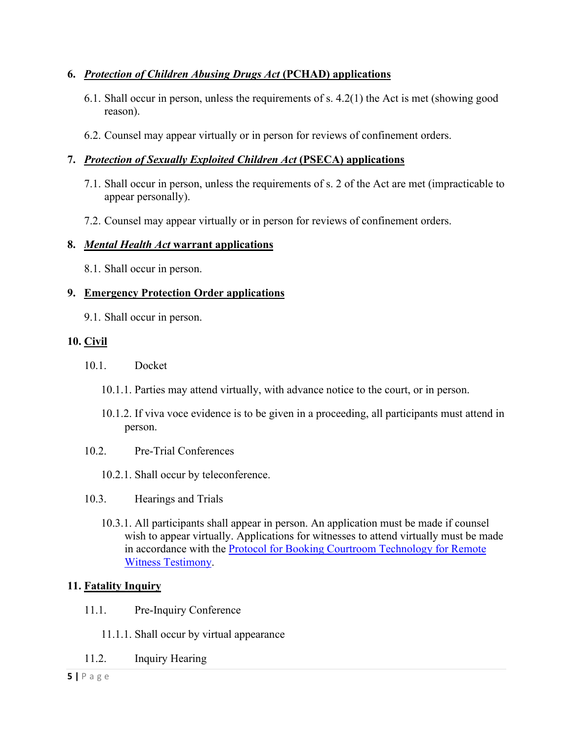# **6.** *Protection of Children Abusing Drugs Act* **(PCHAD) applications**

- 6.1. Shall occur in person, unless the requirements of s. 4.2(1) the Act is met (showing good reason).
- 6.2. Counsel may appear virtually or in person for reviews of confinement orders.

# **7.** *Protection of Sexually Exploited Children Act* **(PSECA) applications**

- 7.1. Shall occur in person, unless the requirements of s. 2 of the Act are met (impracticable to appear personally).
- 7.2. Counsel may appear virtually or in person for reviews of confinement orders.

#### **8.** *Mental Health Act* **warrant applications**

8.1. Shall occur in person.

# **9. Emergency Protection Order applications**

9.1. Shall occur in person.

# **10. Civil**

- 10.1. Docket
	- 10.1.1. Parties may attend virtually, with advance notice to the court, or in person.
	- 10.1.2. If viva voce evidence is to be given in a proceeding, all participants must attend in person.
- 10.2. Pre-Trial Conferences
	- 10.2.1. Shall occur by teleconference.
- 10.3. Hearings and Trials
	- 10.3.1. All participants shall appear in person. An application must be made if counsel wish to appear virtually. Applications for witnesses to attend virtually must be made in accordance with the [Protocol for Booking Courtroom Technology for Remote](https://albertacourts.ca/docs/default-source/pc/protocol-for-booking-courtroom-technology-for-remote-witness.pdf?sfvrsn=f5927e83_10)  [Witness Testimony.](https://albertacourts.ca/docs/default-source/pc/protocol-for-booking-courtroom-technology-for-remote-witness.pdf?sfvrsn=f5927e83_10)

# **11. Fatality Inquiry**

- 11.1. Pre-Inquiry Conference
	- 11.1.1. Shall occur by virtual appearance
- 11.2. Inquiry Hearing